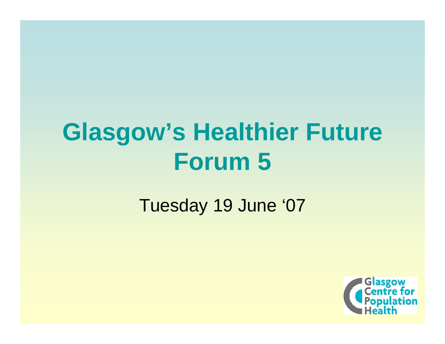# **Glasgow's Healthier Future Forum 5**

### Tuesday 19 June '07

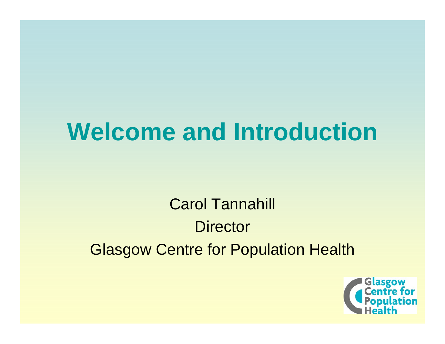# **Welcome and Introduction**

Carol Tannahill **Director** Glasgow Centre for Population Health

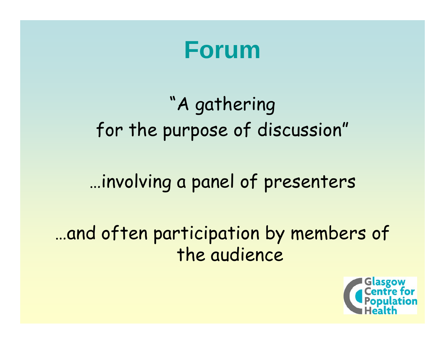**Forum**

# "A gathering for the purpose of discussion"

## …involving a panel of presenters

## …and often participation by members of the audience

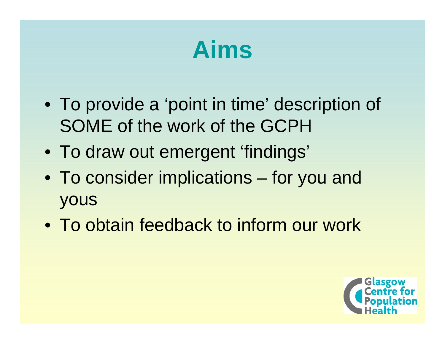# **Aims**

- To provide a 'point in time' description of SOME of the work of the GCPH
- To draw out emergent 'findings'
- To consider implications for you and yous
- To obtain feedback to inform our work

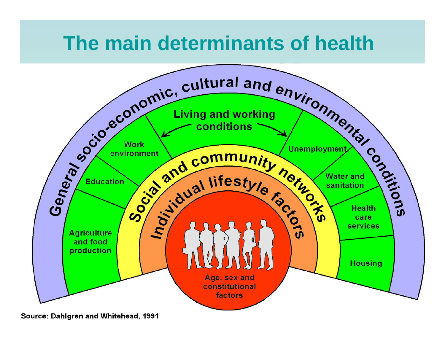## **The main determinants of health**



Source: Dahlgren and Whitehead, 1991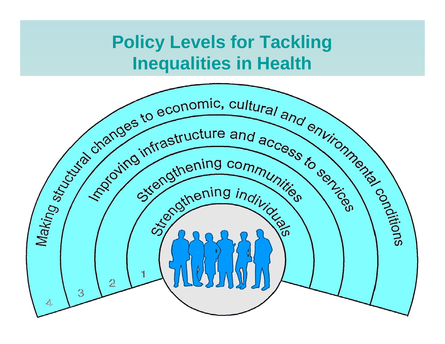### **Policy Levels for Tackling Inequalities in Health**

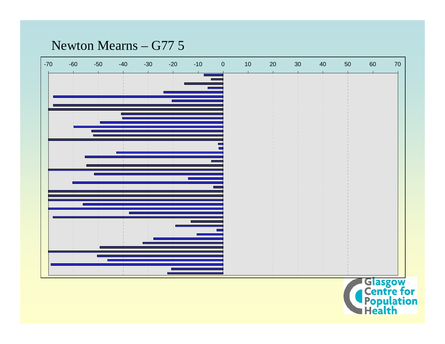#### Newton Mearns – G77 5

| $-70$ | $-60$ | $-50$ | $-40$ | $-30$ | $-20$ | $-10$        | $\pmb{0}$ | $10\,$ | $20\,$ | $30\,$ | $40\,$ | 50 | 60 | 70 |
|-------|-------|-------|-------|-------|-------|--------------|-----------|--------|--------|--------|--------|----|----|----|
|       |       |       |       |       |       |              |           |        |        |        |        |    |    |    |
|       |       |       |       |       |       | $\mathbf{1}$ |           |        |        |        |        |    |    |    |
|       |       |       |       |       |       |              |           |        |        |        |        |    |    |    |
|       |       |       |       |       |       |              |           |        |        |        |        |    |    |    |
|       |       |       |       |       |       |              |           |        |        |        |        |    |    |    |
|       |       |       |       |       |       |              |           |        |        |        |        |    |    |    |
|       |       |       |       |       |       |              |           |        |        |        |        |    |    |    |
|       |       |       |       |       |       |              |           |        |        |        |        |    |    |    |
|       |       |       |       |       |       |              |           |        |        |        |        |    |    |    |
|       |       |       |       |       |       |              |           |        |        |        |        |    |    |    |
|       |       |       |       |       |       |              |           |        |        |        |        |    |    |    |
|       |       |       |       |       |       | $\pm$        |           |        |        |        |        |    |    |    |
|       |       |       |       |       |       |              |           |        |        |        |        |    |    |    |
|       |       |       |       |       |       |              |           |        |        |        |        |    |    |    |
|       |       |       |       |       |       |              |           |        |        |        |        |    |    |    |

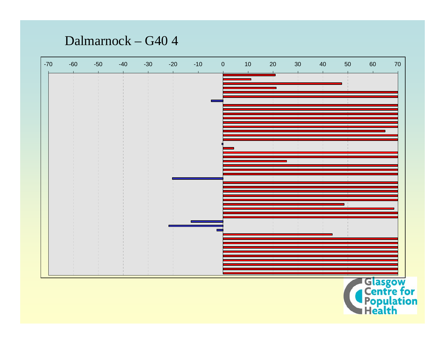#### Dalmarnock - G40 4

| $-70$ | $-60$ | $-50$ | $-40$ | $-30$ | $-20$ | $-10$ | $\pmb{0}$                | $10\,$ | $20\,$ | $30\,$ | $40\,$       | 50 | 60 | 70 |
|-------|-------|-------|-------|-------|-------|-------|--------------------------|--------|--------|--------|--------------|----|----|----|
|       |       |       |       |       |       |       |                          |        |        |        |              |    |    |    |
|       |       |       |       |       |       |       |                          |        |        |        | $\mathbf{L}$ |    |    |    |
|       |       |       |       |       |       |       |                          |        |        |        |              |    |    |    |
|       |       |       |       |       |       |       |                          |        |        |        |              |    |    |    |
|       |       |       |       |       |       |       |                          |        |        |        |              |    |    |    |
|       |       |       |       |       |       |       |                          |        |        |        |              |    |    |    |
|       |       |       |       |       |       |       |                          |        |        |        |              |    |    |    |
|       |       |       |       |       |       |       |                          |        |        |        |              |    |    |    |
|       |       |       |       |       |       |       |                          |        |        |        |              |    |    |    |
|       |       |       |       |       |       |       |                          |        |        |        |              |    |    |    |
|       |       |       |       |       |       |       |                          |        |        |        |              |    |    |    |
|       |       |       |       |       |       |       |                          |        |        |        |              |    |    |    |
|       |       |       |       |       |       |       | $\overline{\phantom{a}}$ |        |        |        |              |    |    |    |
|       |       |       |       |       |       |       |                          |        |        |        |              |    |    |    |
|       |       |       |       |       |       |       |                          |        |        |        |              |    |    |    |
|       |       |       |       |       |       |       |                          |        |        |        |              |    |    |    |

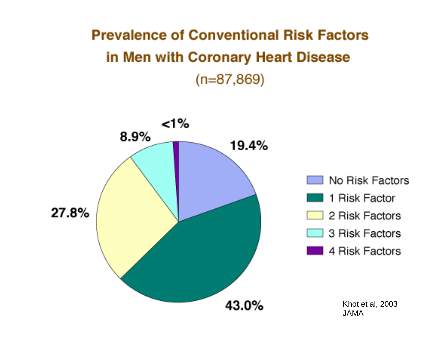### **Prevalence of Conventional Risk Factors** in Men with Coronary Heart Disease  $(n=87,869)$

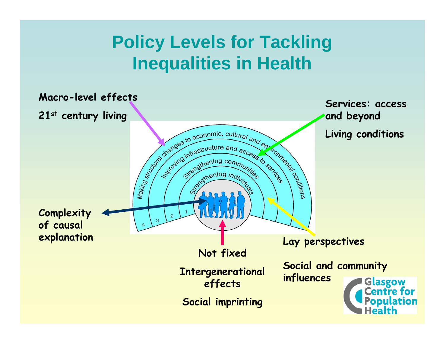## **Policy Levels for Tackling Inequalities in Health**